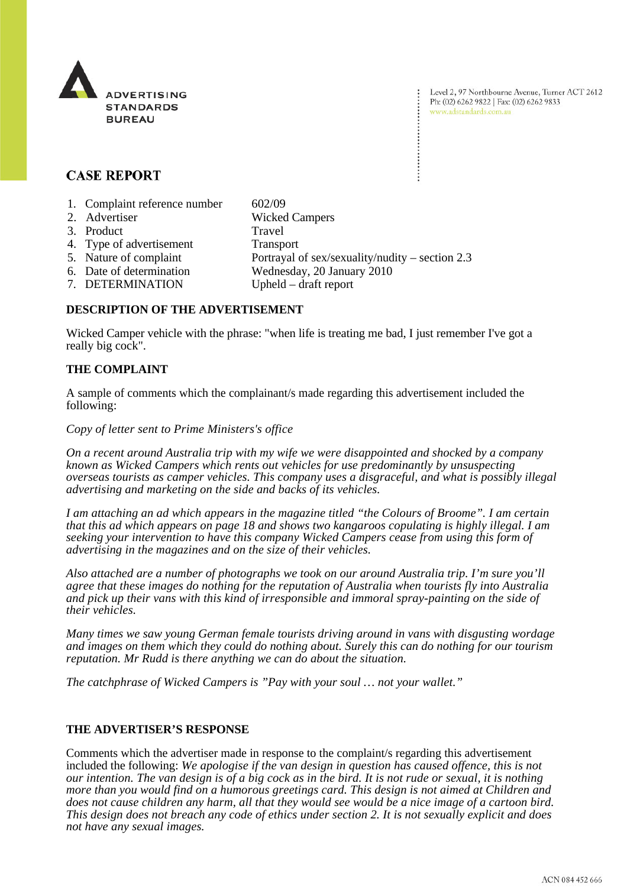

Level 2, 97 Northbourne Avenue, Turner ACT 2612 Ph: (02) 6262 9822 | Fax: (02) 6262 9833 www.adstandards.com.au

# **CASE REPORT**

- 1. Complaint reference number 602/09
- 2. Advertiser Wicked Campers
- 3. Product Travel
- 4. Type of advertisement Transport
- 
- 5. Nature of complaint Portrayal of sex/sexuality/nudity section 2.3
- 6. Date of determination Wednesday, 20 January 2010
	-
- 7. DETERMINATION Upheld draft report

# **DESCRIPTION OF THE ADVERTISEMENT**

Wicked Camper vehicle with the phrase: "when life is treating me bad, I just remember I've got a really big cock".

# **THE COMPLAINT**

A sample of comments which the complainant/s made regarding this advertisement included the following:

#### *Copy of letter sent to Prime Ministers's office*

*On a recent around Australia trip with my wife we were disappointed and shocked by a company known as Wicked Campers which rents out vehicles for use predominantly by unsuspecting overseas tourists as camper vehicles. This company uses a disgraceful, and what is possibly illegal advertising and marketing on the side and backs of its vehicles.*

*I am attaching an ad which appears in the magazine titled "the Colours of Broome". I am certain that this ad which appears on page 18 and shows two kangaroos copulating is highly illegal. I am seeking your intervention to have this company Wicked Campers cease from using this form of advertising in the magazines and on the size of their vehicles.*

*Also attached are a number of photographs we took on our around Australia trip. I'm sure you'll agree that these images do nothing for the reputation of Australia when tourists fly into Australia and pick up their vans with this kind of irresponsible and immoral spray-painting on the side of their vehicles.*

*Many times we saw young German female tourists driving around in vans with disgusting wordage and images on them which they could do nothing about. Surely this can do nothing for our tourism reputation. Mr Rudd is there anything we can do about the situation.*

*The catchphrase of Wicked Campers is "Pay with your soul … not your wallet."*

## **THE ADVERTISER'S RESPONSE**

Comments which the advertiser made in response to the complaint/s regarding this advertisement included the following: *We apologise if the van design in question has caused offence, this is not our intention. The van design is of a big cock as in the bird. It is not rude or sexual, it is nothing more than you would find on a humorous greetings card. This design is not aimed at Children and does not cause children any harm, all that they would see would be a nice image of a cartoon bird. This design does not breach any code of ethics under section 2. It is not sexually explicit and does not have any sexual images.*